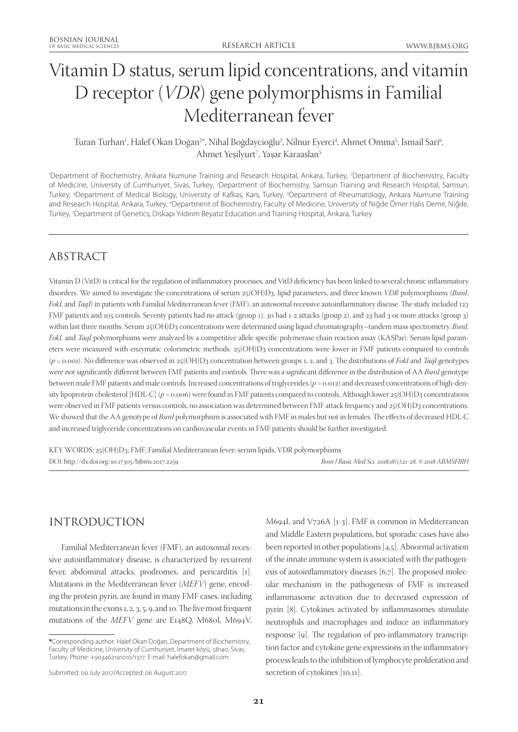# Vitamin D status, serum lipid concentrations, and vitamin D receptor (*VDR*) gene polymorphisms in Familial Mediterranean fever

#### Turan Turhan<sup>1</sup>, Halef Okan Doğan<sup>2\*</sup>, Nihal Boğdaycioğlu<sup>3</sup>, Nilnur Eyerci<sup>4</sup>, Ahmet Omma<sup>5</sup>, Ismail Sari<sup>6</sup> , Ahmet Yeşilyurt<sup>7</sup>, Yaşar Karaaslan<sup>5</sup>

'Department of Biochemistry, Ankara Numune Training and Research Hospital, Ankara, Turkey, <sup>2</sup>Department of Biochemistry, Faculty of Medicine, University of Cumhuriyet, Sivas, Turkey, <sup>3</sup>Department of Biochemistry, Samsun Training and Research Hospital, Samsun, Turkey, 4 Department of Medical Biology, University of Kafkas, Kars, Turkey, 5 Department of Rheumatology, Ankara Numune Training and Research Hospital, Ankara, Turkey, 'Department of Biochemistry, Faculty of Medicine, University of Niğde Ömer Halis Demir, Niğde, Turkey, 7 Department of Genetics, Dıskapı Yıldırım Beyatız Education and Training Hospital, Ankara, Turkey

# ABSTRACT

Vitamin D (VitD) is critical for the regulation of inflammatory processes, and VitD deficiency has been linked to several chronic inflammatory disorders. We aimed to investigate the concentrations of serum 25(OH)D3, lipid parameters, and three known *VDR* polymorphisms (*BsmI*, *FokI*, and *TaqI*) in patients with Familial Mediterranean fever (FMF), an autosomal recessive autoinflammatory disease. The study included 123 FMF patients and 105 controls. Seventy patients had no attack (group 1), 30 had 1-2 attacks (group 2), and 23 had 3 or more attacks (group 3) within last three months. Serum 25(OH)D3 concentrations were determined using liquid chromatography–tandem mass spectrometry. *BsmI*, *FokI*, and *TaqI* polymorphisms were analyzed by a competitive allele specific polymerase chain reaction assay (KASPar). Serum lipid parameters were measured with enzymatic colorimetric methods. 25(OH)D3 concentrations were lower in FMF patients compared to controls (*p* < 0.001). No difference was observed in 25(OH)D3 concentration between groups 1, 2, and 3. The distributions of *FokI* and *TaqI* genotypes were not significantly different between FMF patients and controls. There was a significant difference in the distribution of AA *BsmI* genotype between male FMF patients and male controls. Increased concentrations of triglycerides ( $p = 0.012$ ) and decreased concentrations of high-density lipoprotein cholesterol [HDL-C] ( $p = 0.006$ ) were found in FMF patients compared to controls. Although lower 25(OH)D3 concentrations were observed in FMF patients versus controls, no association was determined between FMF attack frequency and 25(OH)D3 concentrations. We showed that the AA genotype of *BsmI* polymorphism is associated with FMF in males but not in females. The effects of decreased HDL-C and increased triglyceride concentrations on cardiovascular events in FMF patients should be further investigated.

KEY WORDS: 25(OH)D3; FMF; Familial Mediterranean fever; serum lipids; VDR polymorphisms DOI: http://dx.doi.org/10.17305/bjbms.2017.2259 *Bosn J Basic Med Sci. 2018;18(1):21-28. © 2018 ABMSFBIH*

# INTRODUCTION

Familial Mediterranean fever (FMF), an autosomal recessive autoinflammatory disease, is characterized by recurrent fever, abdominal attacks, prodromes, and pericarditis [1]. Mutations in the Mediterranean fever (*MEFV*) gene, encoding the protein pyrin, are found in many FMF cases, including mutations in the exons 1, 2, 3, 5, 9, and 10. The five most frequent mutations of the *MEFV* gene are E148Q, M680I, M694V, M694I, and V726A [1-3]. FMF is common in Mediterranean and Middle Eastern populations, but sporadic cases have also been reported in other populations [4,5]. Abnormal activation of the innate immune system is associated with the pathogenesis of autoinflammatory diseases [6,7]. The proposed molecular mechanism in the pathogenesis of FMF is increased inflammasome activation due to decreased expression of pyrin [8]. Cytokines activated by inflammasomes stimulate neutrophils and macrophages and induce an inflammatory response [9]. The regulation of pro-inflammatory transcription factor and cytokine gene expressions in the inflammatory process leads to the inhibition of lymphocyte proliferation and secretion of cytokines [10,11].

**<sup>\*</sup>**Corresponding author: Halef Okan Doğan, Department of Biochemistry, Faculty of Medicine, University of Cumhuriyet, İmaret köyü, 58140, Sivas, Turkey. Phone: +903462191010/1377. E-mail: halefokan@gmail.com

Submitted: 09 July 2017/Accepted: 06 August 2017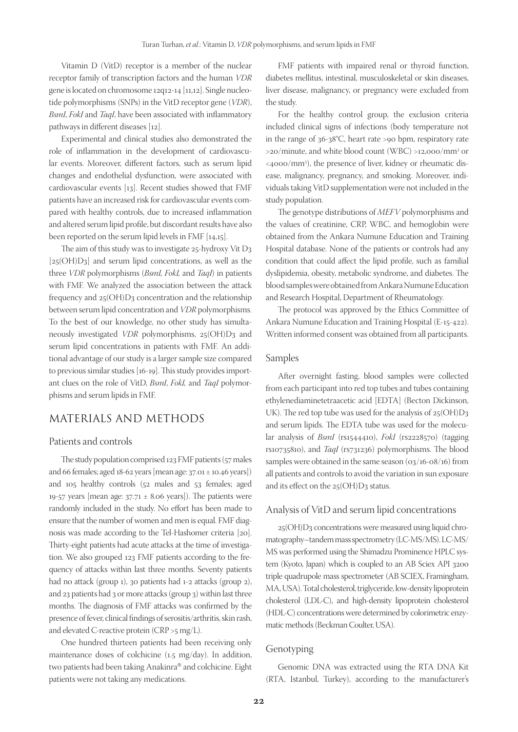Vitamin D (VitD) receptor is a member of the nuclear receptor family of transcription factors and the human *VDR* gene is located on chromosome 12q12-14 [11,12]. Single nucleotide polymorphisms (SNPs) in the VitD receptor gene (*VDR*), *BsmI*, *FokI* and *TaqI*, have been associated with inflammatory pathways in different diseases [12].

Experimental and clinical studies also demonstrated the role of inflammation in the development of cardiovascular events. Moreover, different factors, such as serum lipid changes and endothelial dysfunction, were associated with cardiovascular events [13]. Recent studies showed that FMF patients have an increased risk for cardiovascular events compared with healthy controls, due to increased inflammation and altered serum lipid profile, but discordant results have also been reported on the serum lipid levels in FMF [14,15].

The aim of this study was to investigate 25-hydroxy Vit D3  $[25(OH)D3]$  and serum lipid concentrations, as well as the three *VDR* polymorphisms (*BsmI, FokI,* and *TaqI*) in patients with FMF. We analyzed the association between the attack frequency and 25(OH)D3 concentration and the relationship between serum lipid concentration and *VDR* polymorphisms. To the best of our knowledge, no other study has simultaneously investigated *VDR* polymorphisms, 25(OH)D3 and serum lipid concentrations in patients with FMF. An additional advantage of our study is a larger sample size compared to previous similar studies [16-19]. This study provides important clues on the role of VitD, *BsmI*, *FokI,* and *TaqI* polymorphisms and serum lipids in FMF.

### MATERIALS AND METHODS

#### Patients and controls

The study population comprised 123 FMF patients (57 males and 66 females; aged 18-62 years [mean age: 37.01 ± 10.46 years]) and 105 healthy controls (52 males and 53 females; aged 19-57 years [mean age:  $37.71 \pm 8.06$  years]). The patients were randomly included in the study. No effort has been made to ensure that the number of women and men is equal. FMF diagnosis was made according to the Tel-Hashomer criteria [20]. Thirty-eight patients had acute attacks at the time of investigation. We also grouped 123 FMF patients according to the frequency of attacks within last three months. Seventy patients had no attack (group 1), 30 patients had 1-2 attacks (group 2), and 23 patients had 3 or more attacks (group 3) within last three months. The diagnosis of FMF attacks was confirmed by the presence of fever, clinical findings of serositis/arthritis, skin rash, and elevated C-reactive protein (CRP >5 mg/L).

One hundred thirteen patients had been receiving only maintenance doses of colchicine (1.5 mg/day). In addition, two patients had been taking Anakinra® and colchicine. Eight patients were not taking any medications.

FMF patients with impaired renal or thyroid function, diabetes mellitus, intestinal, musculoskeletal or skin diseases, liver disease, malignancy, or pregnancy were excluded from the study.

For the healthy control group, the exclusion criteria included clinical signs of infections (body temperature not in the range of 36-38°C, heart rate >90 bpm, respiratory rate >20/minute, and white blood count (WBC) >12,000/mm3 or <4000/mm3 ), the presence of liver, kidney or rheumatic disease, malignancy, pregnancy, and smoking. Moreover, individuals taking VitD supplementation were not included in the study population.

The genotype distributions of *MEFV* polymorphisms and the values of creatinine, CRP, WBC, and hemoglobin were obtained from the Ankara Numune Education and Training Hospital database. None of the patients or controls had any condition that could affect the lipid profile, such as familial dyslipidemia, obesity, metabolic syndrome, and diabetes. The blood samples were obtained from Ankara Numune Education and Research Hospital, Department of Rheumatology.

The protocol was approved by the Ethics Committee of Ankara Numune Education and Training Hospital (E-15-422). Written informed consent was obtained from all participants.

#### Samples

After overnight fasting, blood samples were collected from each participant into red top tubes and tubes containing ethylenediaminetetraacetic acid [EDTA] (Becton Dickinson, UK). The red top tube was used for the analysis of 25(OH)D3 and serum lipids. The EDTA tube was used for the molecular analysis of *BsmI* (rs1544410), *FokI* (rs2228570) (tagging rs10735810), and *TaqI* (rs731236) polymorphisms. The blood samples were obtained in the same season (03/16-08/16) from all patients and controls to avoid the variation in sun exposure and its effect on the 25(OH)D3 status.

#### Analysis of VitD and serum lipid concentrations

25(OH)D3 concentrations were measured using liquid chromatography–tandem mass spectrometry (LC-MS/MS). LC-MS/ MS was performed using the Shimadzu Prominence HPLC system (Kyoto, Japan) which is coupled to an AB Sciex API 3200 triple quadrupole mass spectrometer (AB SCIEX, Framingham, MA, USA). Total cholesterol, triglyceride, low-density lipoprotein cholesterol (LDL-C), and high-density lipoprotein cholesterol (HDL-C) concentrations were determined by colorimetric enzymatic methods (Beckman Coulter, USA).

#### Genotyping

Genomic DNA was extracted using the RTA DNA Kit (RTA, Istanbul, Turkey), according to the manufacturer's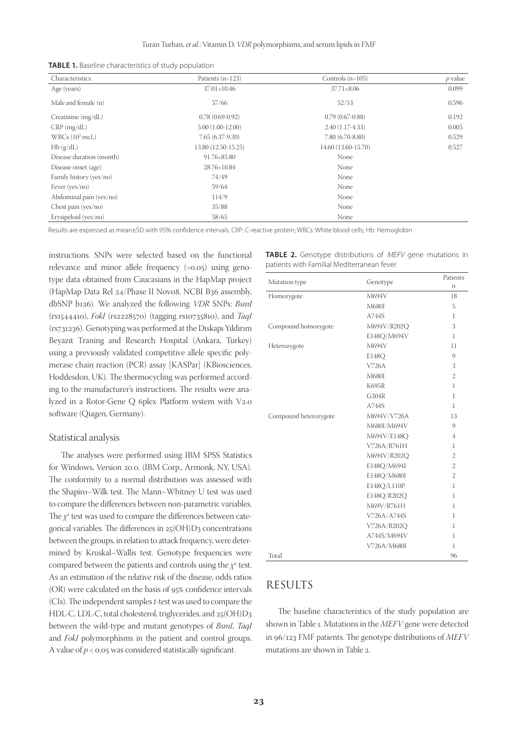|  |  |  | <b>TABLE 1.</b> Baseline characteristics of study population |  |  |  |
|--|--|--|--------------------------------------------------------------|--|--|--|
|--|--|--|--------------------------------------------------------------|--|--|--|

| Characteristics          | Patients $(n=123)$  | Controls $(n=105)$  | $p$ value |
|--------------------------|---------------------|---------------------|-----------|
| Age (years)              | $37.01 \pm 10.46$   | $37.71 \pm 8.06$    | 0.099     |
| Male and female (n)      | 57/66               | 52/53               | 0.596     |
| Creatinine $(mg/dL)$     | $0.78(0.69-0.92)$   | $0.79(0.67-0.88)$   | 0.192     |
| $CRP$ (mg/dL)            | $5.00(1.00-12.00)$  | $2.40(1.17-4.33)$   | 0.005     |
| WBCs $(10^3 \text{mcL})$ | $7.65(6.37-9.30)$   | $7.80(6.70-8.80)$   | 0.529     |
| Hb(g/dL)                 | 13.80 (12.50-15.25) | 14.60 (13.60-15.70) | 0.527     |
| Disease duration (month) | $91.76 \pm 85.80$   | None                |           |
| Disease onset (age)      | 28.76±10.84         | None                |           |
| Family history (yes/no)  | 74/49               | None                |           |
| Fever $(yes/no)$         | 59/64               | None                |           |
| Abdominal pain (yes/no)  | 114/9               | None                |           |
| Chest pain ( $yes/no)$ ) | 35/88               | None                |           |
| Erysipeloid (yes/no)     | 58/65               | None                |           |

Results are expressed as mean±SD with 95% confidence intervals. CRP: C-reactive protein; WBCs: White blood cells; Hb: Hemoglobin

instructions. SNPs were selected based on the functional relevance and minor allele frequency (>0.05) using genotype data obtained from Caucasians in the HapMap project (HapMap Data Rel 24/Phase II Nov08, NCBI B36 assembly, dbSNP b126). We analyzed the following *VDR* SNPs: *BsmI* (rs1544410), *FokI* (rs2228570) (tagging rs10735810), and *TaqI* (rs731236). Genotyping was performed at the Dıskapı Yıldırım Beyazıt Traning and Research Hospital (Ankara, Turkey) using a previously validated competitive allele specific polymerase chain reaction (PCR) assay [KASPar] (KBiosciences, Hoddesdon, UK). The thermocycling was performed according to the manufacturer's instructions. The results were analyzed in a Rotor-Gene Q 6plex Platform system with V2.0 software (Qiagen, Germany).

#### Statistical analysis

The analyses were performed using IBM SPSS Statistics for Windows, Version 20.0. (IBM Corp., Armonk, NY, USA). The conformity to a normal distribution was assessed with the Shapiro–Wilk test. The Mann–Whitney U test was used to compare the differences between non-parametric variables. The  $\chi^{\rm z}$  test was used to compare the differences between categorical variables. The differences in  $25(OH)D_3$  concentrations between the groups, in relation to attack frequency, were determined by Kruskal–Wallis test. Genotype frequencies were compared between the patients and controls using the  $\chi^2$  test. As an estimation of the relative risk of the disease, odds ratios (OR) were calculated on the basis of 95% confidence intervals (CIs). The independent samples *t*-test was used to compare the HDL-C, LDL-C, total cholesterol, triglycerides, and 25(OH)D3 between the wild-type and mutant genotypes of *BsmI*, *TaqI* and *FokI* polymorphisms in the patient and control groups. A value of  $p < 0.05$  was considered statistically significant.

| <b>TABLE 2.</b> Genotype distributions of <i>MEFV</i> gene mutations in |  |  |  |
|-------------------------------------------------------------------------|--|--|--|
| patients with Familial Mediterranean fever                              |  |  |  |

| Mutation type         | Genotype     | Patients       |
|-----------------------|--------------|----------------|
|                       |              | n              |
| Homozygote            | M694V        | 18             |
|                       | M680I        | 5              |
|                       | A744S        | 1              |
| Compound homozygote   | M694V/R202Q  | 3              |
|                       | E148Q/M694V  | 1              |
| Heterozygote          | M694V        | 11             |
|                       | E148Q        | 9              |
|                       | V726A        | 3              |
|                       | M680I        | 2              |
|                       | <b>K695R</b> | 1              |
|                       | G304R        | 1              |
|                       | A744S        | 1              |
| Compound heterozygote | M694V/V726A  | 13             |
|                       | M680I/M694V  | 9              |
|                       | M694V/E148Q  | 4              |
|                       | V726A/R761H  | 1              |
|                       | M694V/R202Q  | $\overline{2}$ |
|                       | E148Q/M694I  | $\overline{2}$ |
|                       | E148Q/M680I  | $\overline{2}$ |
|                       | E148Q/L110P  | 1              |
|                       | E148Q/R202Q  | 1              |
|                       | M69V/R761H   | 1              |
|                       | V726A/A744S  | 1              |
|                       | V726A/R202Q  | 1              |
|                       | A744S/M694V  | 1              |
|                       | V726A/M680I  | 1              |
| Total                 |              | 96             |

## RESULTS

The baseline characteristics of the study population are shown in Table 1. Mutations in the *MEFV* gene were detected in 96/123 FMF patients. The genotype distributions of *MEFV*  mutations are shown in Table 2.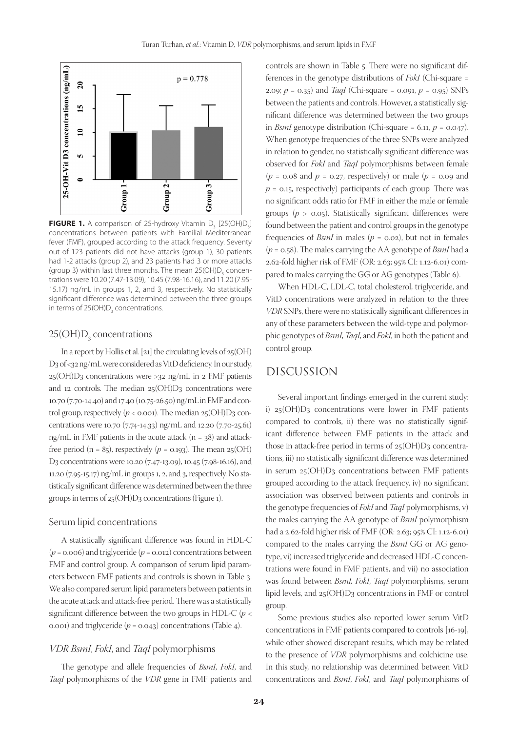

**FIGURE 1.** A comparison of 25-hydroxy Vitamin D<sub>3</sub> [25(OH)D<sub>3</sub>] concentrations between patients with Familial Mediterranean fever (FMF), grouped according to the attack frequency. Seventy out of 123 patients did not have attacks (group 1), 30 patients had 1-2 attacks (group 2), and 23 patients had 3 or more attacks (group 3) within last three months. The mean  $25(OH)D<sub>3</sub>$  concentrations were 10.20 (7.47-13.09), 10.45 (7.98-16.16), and 11.20 (7.95- 15.17) ng/mL in groups 1, 2, and 3, respectively. No statistically significant difference was determined between the three groups in terms of  $25(OH)D<sub>3</sub>$  concentrations.

### $25(OH)D_3$  concentrations

In a report by Hollis et al. [21] the circulating levels of 25(OH) D3 of <32 ng/mL were considered as VitD deficiency. In our study, 25(OH)D3 concentrations were >32 ng/mL in 2 FMF patients and 12 controls. The median  $25(OH)D_3$  concentrations were 10.70 (7.70-14.40) and 17.40 (10.75-26.50) ng/mL in FMF and control group, respectively  $(p < 0.001)$ . The median  $25(OH)D_3$  concentrations were 10.70 (7.74-14.33) ng/mL and 12.20 (7.70-25.61) ng/mL in FMF patients in the acute attack  $(n = 38)$  and attackfree period ( $n = 85$ ), respectively ( $p = 0.193$ ). The mean 25(OH) D3 concentrations were 10.20 (7.47-13.09), 10.45 (7.98-16.16), and 11.20 (7.95-15.17) ng/mL in groups 1, 2, and 3, respectively. No statistically significant difference was determined between the three groups in terms of 25(OH)D3 concentrations (Figure 1).

#### Serum lipid concentrations

A statistically significant difference was found in HDL-C  $(p = 0.006)$  and triglyceride  $(p = 0.012)$  concentrations between FMF and control group. A comparison of serum lipid parameters between FMF patients and controls is shown in Table 3. We also compared serum lipid parameters between patients in the acute attack and attack-free period. There was a statistically significant difference between the two groups in HDL-C (*p* < 0.001) and triglyceride  $(p = 0.043)$  concentrations (Table 4).

#### *VDR BsmI*, *FokI*, and *TaqI* polymorphisms

The genotype and allele frequencies of *BsmI*, *FokI*, and *TaqI* polymorphisms of the *VDR* gene in FMF patients and controls are shown in Table 5. There were no significant differences in the genotype distributions of *FokI* (Chi-square = 2.09;  $p = 0.35$ ) and *TaqI* (Chi-square = 0.091,  $p = 0.95$ ) SNPs between the patients and controls. However, a statistically significant difference was determined between the two groups in *BsmI* genotype distribution (Chi-square = 6.11,  $p = 0.047$ ). When genotype frequencies of the three SNPs were analyzed in relation to gender, no statistically significant difference was observed for *FokI* and *TaqI* polymorphisms between female  $(p = 0.08$  and  $p = 0.27$ , respectively) or male  $(p = 0.09$  and  $p = 0.15$ , respectively) participants of each group. There was no significant odds ratio for FMF in either the male or female groups  $(p > 0.05)$ . Statistically significant differences were found between the patient and control groups in the genotype frequencies of *BsmI* in males ( $p = 0.02$ ), but not in females (*p* = 0.58). The males carrying the AA genotype of *BsmI* had a 2.62-fold higher risk of FMF (OR: 2.63; 95% CI: 1.12-6.01) compared to males carrying the GG or AG genotypes (Table 6).

When HDL-C, LDL-C, total cholesterol, triglyceride, and VitD concentrations were analyzed in relation to the three *VDR* SNPs, there were no statistically significant differences in any of these parameters between the wild-type and polymorphic genotypes of *BsmI*, *TaqI*, and *FokI*, in both the patient and control group.

### DISCUSSION

Several important findings emerged in the current study: i)  $25(OH)D_3$  concentrations were lower in FMF patients compared to controls, ii) there was no statistically significant difference between FMF patients in the attack and those in attack-free period in terms of  $25(OH)D_3$  concentrations, iii) no statistically significant difference was determined in serum 25(OH)D3 concentrations between FMF patients grouped according to the attack frequency, iv) no significant association was observed between patients and controls in the genotype frequencies of *FokI* and *TaqI* polymorphisms, v) the males carrying the AA genotype of *BsmI* polymorphism had a 2.62-fold higher risk of FMF (OR: 2.63; 95% CI: 1.12-6.01) compared to the males carrying the *BsmI* GG or AG genotype, vi) increased triglyceride and decreased HDL-C concentrations were found in FMF patients, and vii) no association was found between *BsmI, FokI*, *TaqI* polymorphisms, serum lipid levels, and 25(OH)D3 concentrations in FMF or control group.

Some previous studies also reported lower serum VitD concentrations in FMF patients compared to controls [16-19], while other showed discrepant results, which may be related to the presence of *VDR* polymorphisms and colchicine use. In this study, no relationship was determined between VitD concentrations and *BsmI*, *FokI*, and *TaqI* polymorphisms of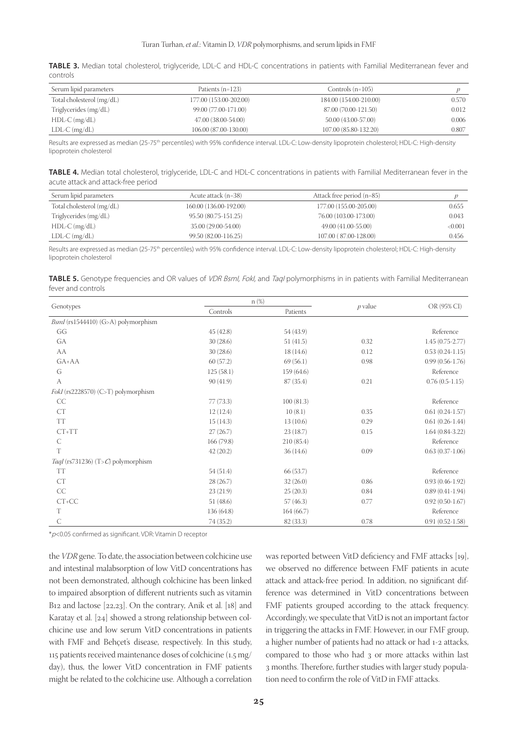|          | TABLE 3. Median total cholesterol, triglyceride, LDL-C and HDL-C concentrations in patients with Familial Mediterranean fever and |  |  |  |  |
|----------|-----------------------------------------------------------------------------------------------------------------------------------|--|--|--|--|
| controls |                                                                                                                                   |  |  |  |  |

| Serum lipid parameters    | Patients $(n=123)$     | Controls $(n=105)$     |       |
|---------------------------|------------------------|------------------------|-------|
| Total cholesterol (mg/dL) | 177.00 (153.00-202.00) | 184.00 (154.00-210.00) | 0.570 |
| Triglycerides (mg/dL)     | 99.00 (77.00-171.00)   | 87.00 (70.00-121.50)   | 0.012 |
| $HDL-C$ (mg/dL)           | 47.00 (38.00-54.00)    | 50.00 (43.00-57.00)    | 0.006 |
| $LDL-C$ (mg/dL)           | 106.00 (87.00-130.00)  | 107.00 (85.80-132.20)  | 0.807 |

Results are expressed as median (25-75<sup>th</sup> percentiles) with 95% confidence interval. LDL-C: Low-density lipoprotein cholesterol; HDL-C: High-density lipoprotein cholesterol

**TABLE 4.** Median total cholesterol, triglyceride, LDL-C and HDL-C concentrations in patients with Familial Mediterranean fever in the acute attack and attack-free period

| Serum lipid parameters    | Acute attack (n=38)    | Attack free period (n=85) |         |
|---------------------------|------------------------|---------------------------|---------|
| Total cholesterol (mg/dL) | 160.00 (136.00-192.00) | 177.00 (155.00-205.00)    | 0.655   |
| Triglycerides (mg/dL)     | 95.50 (80.75-151.25)   | 76.00 (103.00-173.00)     | 0.043   |
| $HDL-C$ (mg/dL)           | 35.00 (29.00-54.00)    | 49.00 (41.00-55.00)       | < 0.001 |
| $LDL-C$ (mg/dL)           | 99.50 (82.00-116.25)   | 107.00 (87.00-128.00)     | 0.456   |

Results are expressed as median (25-75<sup>th</sup> percentiles) with 95% confidence interval. LDL-C: Low-density lipoprotein cholesterol; HDL-C: High-density lipoprotein cholesterol

|                    | <b>TABLE 5.</b> Genotype frequencies and OR values of VDR Bsml, Fokl, and Taql polymorphisms in in patients with Familial Mediterranean |  |  |
|--------------------|-----------------------------------------------------------------------------------------------------------------------------------------|--|--|
| fever and controls |                                                                                                                                         |  |  |

|                                     |            | $n$ $%$    |           |                   |
|-------------------------------------|------------|------------|-----------|-------------------|
| Genotypes                           | Controls   | Patients   | $p$ value | OR (95% CI)       |
| BsmI (rs1544410) (G>A) polymorphism |            |            |           |                   |
| GG                                  | 45(42.8)   | 54 (43.9)  |           | Reference         |
| GA                                  | 30(28.6)   | 51(41.5)   | 0.32      | $1.45(0.75-2.77)$ |
| AA                                  | 30(28.6)   | 18(14.6)   | 0.12      | $0.53(0.24-1.15)$ |
| GA+AA                               | 60(57.2)   | 69(56.1)   | 0.98      | $0.99(0.56-1.76)$ |
| G                                   | 125(58.1)  | 159 (64.6) |           | Reference         |
| A                                   | 90(41.9)   | 87(35.4)   | 0.21      | $0.76(0.5-1.15)$  |
| FokI (rs2228570) (C>T) polymorphism |            |            |           |                   |
| CC                                  | 77(73.3)   | 100(81.3)  |           | Reference         |
| CT                                  | 12(12.4)   | 10(8.1)    | 0.35      | $0.61(0.24-1.57)$ |
| <b>TT</b>                           | 15(14.3)   | 13(10.6)   | 0.29      | $0.61(0.26-1.44)$ |
| $CT+TT$                             | 27(26.7)   | 23(18.7)   | 0.15      | $1.64(0.84-3.22)$ |
| $\mathsf{C}$                        | 166 (79.8) | 210(85.4)  |           | Reference         |
| T                                   | 42(20.2)   | 36(14.6)   | 0.09      | $0.63(0.37-1.06)$ |
| TaqI (rs731236) (T>C) polymorphism  |            |            |           |                   |
| <b>TT</b>                           | 54(51.4)   | 66 (53.7)  |           | Reference         |
| CT                                  | 28(26.7)   | 32(26.0)   | 0.86      | $0.93(0.46-1.92)$ |
| CC                                  | 23(21.9)   | 25(20.3)   | 0.84      | $0.89(0.41-1.94)$ |
| $CT+CC$                             | 51 (48.6)  | 57(46.3)   | 0.77      | $0.92(0.50-1.67)$ |
| T                                   | 136 (64.8) | 164(66.7)  |           | Reference         |
| $\mathsf{C}$                        | 74(35.2)   | 82 (33.3)  | 0.78      | $0.91(0.52-1.58)$ |

\*p<0.05 confirmed as significant. VDR: Vitamin D receptor

the *VDR* gene. To date, the association between colchicine use and intestinal malabsorption of low VitD concentrations has not been demonstrated, although colchicine has been linked to impaired absorption of different nutrients such as vitamin B12 and lactose [22,23]. On the contrary, Anik et al. [18] and Karatay et al. [24] showed a strong relationship between colchicine use and low serum VitD concentrations in patients with FMF and Behçet's disease, respectively. In this study, 115 patients received maintenance doses of colchicine (1.5 mg/ day), thus, the lower VitD concentration in FMF patients might be related to the colchicine use. Although a correlation

was reported between VitD deficiency and FMF attacks [19], we observed no difference between FMF patients in acute attack and attack-free period. In addition, no significant difference was determined in VitD concentrations between FMF patients grouped according to the attack frequency. Accordingly, we speculate that VitD is not an important factor in triggering the attacks in FMF. However, in our FMF group, a higher number of patients had no attack or had 1-2 attacks, compared to those who had 3 or more attacks within last 3 months. Therefore, further studies with larger study population need to confirm the role of VitD in FMF attacks.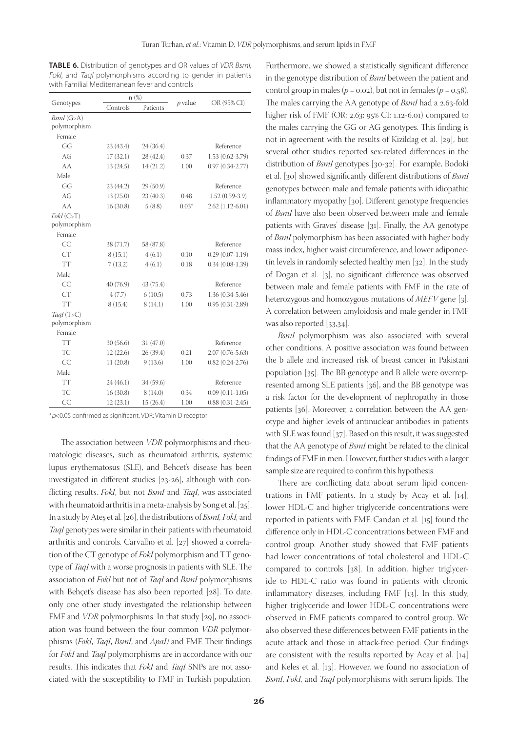**TABLE 6.** Distribution of genotypes and OR values of VDR BsmI, FokI, and TaqI polymorphisms according to gender in patients with Familial Mediterranean fever and controls

|              | n(%)      |           | $p$ value | OR (95% CI)         |  |
|--------------|-----------|-----------|-----------|---------------------|--|
| Genotypes    | Controls  | Patients  |           |                     |  |
| $BsmI$ (G>A) |           |           |           |                     |  |
| polymorphism |           |           |           |                     |  |
| Female       |           |           |           |                     |  |
| GG           | 23(43.4)  | 24 (36.4) |           | Reference           |  |
| AG           | 17(32.1)  | 28 (42.4) | 0.37      | 1.53 (0.62-3.79)    |  |
| AA           | 13(24.5)  | 14 (21.2) | 1.00      | $0.97(0.34 - 2.77)$ |  |
| Male         |           |           |           |                     |  |
| GG           | 23 (44.2) | 29 (50.9) |           | Reference           |  |
| AG           | 13(25.0)  | 23(40.3)  | 0.48      | $1.52(0.59-3.9)$    |  |
| AA           | 16(30.8)  | 5(8.8)    | $0.03*$   | $2.62(1.12-6.01)$   |  |
| FokI(C>T)    |           |           |           |                     |  |
| polymorphism |           |           |           |                     |  |
| Female       |           |           |           |                     |  |
| CC           | 38 (71.7) | 58 (87.8) |           | Reference           |  |
| <b>CT</b>    | 8(15.1)   | 4(6.1)    | 0.10      | $0.29(0.07-1.19)$   |  |
| <b>TT</b>    | 7(13.2)   | 4(6.1)    | 0.18      | $0.34(0.08-1.39)$   |  |
| Male         |           |           |           |                     |  |
| CC           | 40 (76.9) | 43 (75.4) |           | Reference           |  |
| <b>CT</b>    | 4(7.7)    | 6(10.5)   | 0.73      | $1.36(0.34-5.46)$   |  |
| <b>TT</b>    | 8(15.4)   | 8(14.1)   | 1.00      | $0.95(0.31-2.89)$   |  |
| TaqI $(T>C)$ |           |           |           |                     |  |
| polymorphism |           |           |           |                     |  |
| Female       |           |           |           |                     |  |
| <b>TT</b>    | 30(56.6)  | 31 (47.0) |           | Reference           |  |
| TC           | 12(22.6)  | 26 (39.4) | 0.21      | $2.07(0.76 - 5.63)$ |  |
| CC           | 11(20.8)  | 9(13.6)   | 1.00      | $0.82(0.24-2.76)$   |  |
| Male         |           |           |           |                     |  |
| <b>TT</b>    | 24(46.1)  | 34 (59.6) |           | Reference           |  |
| TC           | 16(30.8)  | 8(14.0)   | 0.34      | $0.09(0.11-1.05)$   |  |
| CC           | 12(23.1)  | 15(26.4)  | 1.00      | $0.88(0.31-2.45)$   |  |

\*p<0.05 confirmed as significant. VDR: Vitamin D receptor

The association between *VDR* polymorphisms and rheumatologic diseases, such as rheumatoid arthritis, systemic lupus erythematosus (SLE), and Behcet's disease has been investigated in different studies [23-26], although with conflicting results. *FokI*, but not *BsmI* and *TaqI*, was associated with rheumatoid arthritis in a meta-analysis by Song et al. [25]. In a study by Ateş et al. [26], the distributions of *BsmI, FokI,* and *TaqI* genotypes were similar in their patients with rheumatoid arthritis and controls. Carvalho et al. [27] showed a correlation of the CT genotype of *FokI* polymorphism and TT genotype of *TaqI* with a worse prognosis in patients with SLE. The association of *FokI* but not of *TaqI* and *BsmI* polymorphisms with Behçet's disease has also been reported [28]. To date, only one other study investigated the relationship between FMF and *VDR* polymorphisms. In that study [29], no associ-ation was found between the four common *VDR* polymorphisms (*FokI*, *TaqI*, *BsmI*, and *ApaI)* and FMF. Their findings for *FokI* and *TaqI* polymorphisms are in accordance with our results. This indicates that *FokI* and *TaqI* SNPs are not associated with the susceptibility to FMF in Turkish population.

Furthermore, we showed a statistically significant difference in the genotype distribution of *BsmI* between the patient and control group in males ( $p = 0.02$ ), but not in females ( $p = 0.58$ ). The males carrying the AA genotype of *BsmI* had a 2.63-fold higher risk of FMF (OR: 2.63; 95% CI: 1.12-6.01) compared to the males carrying the GG or AG genotypes. This finding is not in agreement with the results of Kizildag et al. [29], but several other studies reported sex-related differences in the distribution of *BsmI* genotypes [30-32]. For example, Bodoki et al. [30] showed significantly different distributions of *BsmI* genotypes between male and female patients with idiopathic inflammatory myopathy [30]. Different genotype frequencies of *BsmI* have also been observed between male and female patients with Graves' disease [31]. Finally, the AA genotype of *BsmI* polymorphism has been associated with higher body mass index, higher waist circumference, and lower adiponectin levels in randomly selected healthy men [32]. In the study of Dogan et al. [3], no significant difference was observed between male and female patients with FMF in the rate of heterozygous and homozygous mutations of *MEFV* gene [3]. A correlation between amyloidosis and male gender in FMF was also reported [33,34].

*BsmI* polymorphism was also associated with several other conditions. A positive association was found between the b allele and increased risk of breast cancer in Pakistani population [35]. The BB genotype and B allele were overrepresented among SLE patients [36], and the BB genotype was a risk factor for the development of nephropathy in those patients [36]. Moreover, a correlation between the AA genotype and higher levels of antinuclear antibodies in patients with SLE was found [37]. Based on this result, it was suggested that the AA genotype of *BsmI* might be related to the clinical findings of FMF in men. However, further studies with a larger sample size are required to confirm this hypothesis.

There are conflicting data about serum lipid concentrations in FMF patients. In a study by Acay et al. [14], lower HDL-C and higher triglyceride concentrations were reported in patients with FMF. Candan et al. [15] found the difference only in HDL-C concentrations between FMF and control group. Another study showed that FMF patients had lower concentrations of total cholesterol and HDL-C compared to controls [38]. In addition, higher triglyceride to HDL-C ratio was found in patients with chronic inflammatory diseases, including FMF [13]. In this study, higher triglyceride and lower HDL-C concentrations were observed in FMF patients compared to control group. We also observed these differences between FMF patients in the acute attack and those in attack-free period. Our findings are consistent with the results reported by Acay et al. [14] and Keles et al. [13]. However, we found no association of *BsmI*, *FokI*, and *TaqI* polymorphisms with serum lipids. The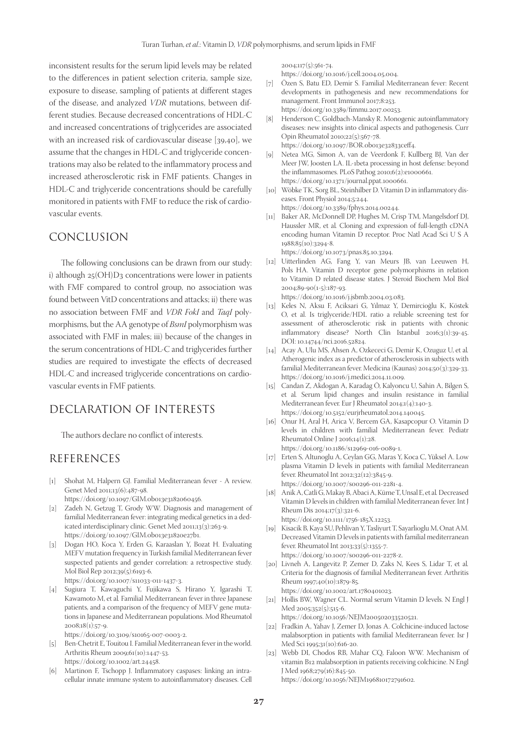inconsistent results for the serum lipid levels may be related to the differences in patient selection criteria, sample size, exposure to disease, sampling of patients at different stages of the disease, and analyzed *VDR* mutations, between different studies. Because decreased concentrations of HDL-C and increased concentrations of triglycerides are associated with an increased risk of cardiovascular disease [39,40], we assume that the changes in HDL-C and triglyceride concentrations may also be related to the inflammatory process and increased atherosclerotic risk in FMF patients. Changes in HDL-C and triglyceride concentrations should be carefully monitored in patients with FMF to reduce the risk of cardiovascular events.

### CONCLUSION

The following conclusions can be drawn from our study: i) although 25(OH)D3 concentrations were lower in patients with FMF compared to control group, no association was found between VitD concentrations and attacks; ii) there was no association between FMF and *VDR FokI* and *TaqI* polymorphisms, but the AA genotype of *BsmI* polymorphism was associated with FMF in males; iii) because of the changes in the serum concentrations of HDL-C and triglycerides further studies are required to investigate the effects of decreased HDL-C and increased triglyceride concentrations on cardiovascular events in FMF patients.

### DECLARATION OF INTERESTS

The authors declare no conflict of interests.

### REFERENCES

- [1] Shohat M, Halpern GJ. Familial Mediterranean fever A review. Genet Med 2011;13(6):487-98. https://doi.org/10.1097/GIM.0b013e3182060456.
- [2] Zadeh N, Getzug T, Grody WW. Diagnosis and management of
- familial Mediterranean fever: integrating medical genetics in a dedicated interdisciplinary clinic. Genet Med 2011;13(3):263-9. https://doi.org/10.1097/GIM.0b013e31820e27b1.
- [3] Dogan HO, Koca Y, Erden G, Karaaslan Y, Bozat H. Evaluating MEFV mutation frequency in Turkish familial Mediterranean fever suspected patients and gender correlation: a retrospective study. Mol Biol Rep 2012;39(5):6193-6.
	- https://doi.org/10.1007/s11033-011-1437-3.
- [4] Sugiura T, Kawaguchi Y, Fujikawa S, Hirano Y, Igarashi T, Kawamoto M, et al*.* Familial Mediterranean fever in three Japanese patients, and a comparison of the frequency of MEFV gene mutations in Japanese and Mediterranean populations. Mod Rheumatol 2008;18(1):57-9.

https://doi.org/10.3109/s10165-007-0003-2.

- [5] Ben-Chetrit E, Touitou I. Familial Mediterranean fever in the world. Arthritis Rheum 2009;61(10):1447-53. https://doi.org/10.1002/art.24458.
- [6] Martinon F, Tschopp J. Inflammatory caspases: linking an intracellular innate immune system to autoinflammatory diseases. Cell

2004;117(5):561-74.

- https://doi.org/10.1016/j.cell.2004.05.004.
- [7] Özen S, Batu ED, Demir S. Familial Mediterranean fever: Recent developments in pathogenesis and new recommendations for management. Front Immunol 2017;8:253. https://doi.org/10.3389/fimmu.2017.00253.
- [8] Henderson C, Goldbach-Mansky R. Monogenic autoinflammatory diseases: new insights into clinical aspects and pathogenesis. Curr Opin Rheumatol 2010;22(5):567-78. https://doi.org/10.1097/BOR.0b013e32833ceff4.
- [9] Netea MG, Simon A, van de Veerdonk F, Kullberg BJ, Van der Meer JW, Joosten LA. IL-1beta processing in host defense: beyond the inflammasomes. PLoS Pathog 2010;6(2):e1000661. https://doi.org/10.1371/journal.ppat.1000661.
- [10] Wöbke TK, Sorg BL, Steinhilber D. Vitamin D in inflammatory diseases. Front Physiol 2014;5:244. https://doi.org/10.3389/fphys.2014.00244.
- [11] Baker AR, McDonnell DP, Hughes M, Crisp TM, Mangelsdorf DJ, Haussler MR, et al*.* Cloning and expression of full-length cDNA encoding human Vitamin D receptor. Proc Natl Acad Sci U S A 1988;85(10):3294-8. https://doi.org/10.1073/pnas.85.10.3294.
	-
- [12] Uitterlinden AG, Fang Y, van Meurs JB, van Leeuwen H, Pols HA. Vitamin D receptor gene polymorphisms in relation to Vitamin D related disease states. J Steroid Biochem Mol Biol 2004;89-90(1-5):187-93.

https://doi.org/10.1016/j.jsbmb.2004.03.083.

- [13] Keles N, Aksu F, Aciksari G, Yılmaz Y, Demircioğlu K, Köstek O, et al. Is triglyceride/HDL ratio a reliable screening test for assessment of atherosclerotic risk in patients with chronic inflammatory disease? North Clin Istanbul 2016;3(1):39-45. DOI: 10.14744/nci.2016.52824.
- [14] Acay A, Ulu MS, Ahsen A, Ozkececi G, Demir K, Ozuguz U, et al*.* Atherogenic index as a predictor of atherosclerosis in subjects with familial Mediterranean fever. Medicina (Kaunas) 2014;50(3):329-33. https://doi.org/10.1016/j.medici.2014.11.009.
- [15] Candan Z, Akdogan A, Karadag Ö, Kalyoncu U, Sahin A, Bilgen S, et al*.* Serum lipid changes and insulin resistance in familial Mediterranean fever. Eur J Rheumatol 2014;1(4):140-3. https://doi.org/10.5152/eurjrheumatol.2014.140045.
- [16] Onur H, Aral H, Arica V, Bercem GA, Kasapcopur O. Vitamin D levels in children with familial Mediterranean fever. Pediatr Rheumatol Online J 2016;14(1):28. https://doi.org/10.1186/s12969-016-0089-1.
- [17] Erten S, Altunoglu A, Ceylan GG, Maras Y, Koca C, Yüksel A. Low plasma Vitamin D levels in patients with familial Mediterranean fever. Rheumatol Int 2012;32(12):3845-9. https://doi.org/10.1007/s00296-011-2281-4.
- [18] Anik A, Catli G, Makay B, Abaci A, Küme T, Unsal E, et al*.* Decreased Vitamin D levels in children with familial Mediterranean fever. Int J Rheum Dis 2014;17(3):321-6. https://doi.org/10.1111/1756-185X.12253.
- [19] Kisacik B, Kaya SU, Pehlivan Y, Tasliyurt T, Sayarlioglu M, Onat AM. Decreased Vitamin D levels in patients with familial mediterranean fever. Rheumatol Int 2013;33(5):1355-7. https://doi.org/10.1007/s00296-011-2278-z.
- [20] Livneh A, Langevitz P, Zemer D, Zaks N, Kees S, Lidar T, et al*.* Criteria for the diagnosis of familial Mediterranean fever. Arthritis Rheum 1997;40(10):1879-85. https://doi.org/10.1002/art.1780401023.
- [21] Hollis BW, Wagner CL. Normal serum Vitamin D levels. N Engl J Med 2005;352(5):515-6.

https://doi.org/10.1056/NEJM200502033520521.

- [22] Fradkin A, Yahav J, Zemer D, Jonas A. Colchicine-induced lactose malabsorption in patients with familial Mediterranean fever. Isr J Med Sci 1995;31(10):616-20.
- [23] Webb DI, Chodos RB, Mahar CQ, Faloon WW. Mechanism of vitamin B12 malabsorption in patients receiving colchicine. N Engl J Med 1968;279(16):845-50. https://doi.org/10.1056/NEJM196810172791602.